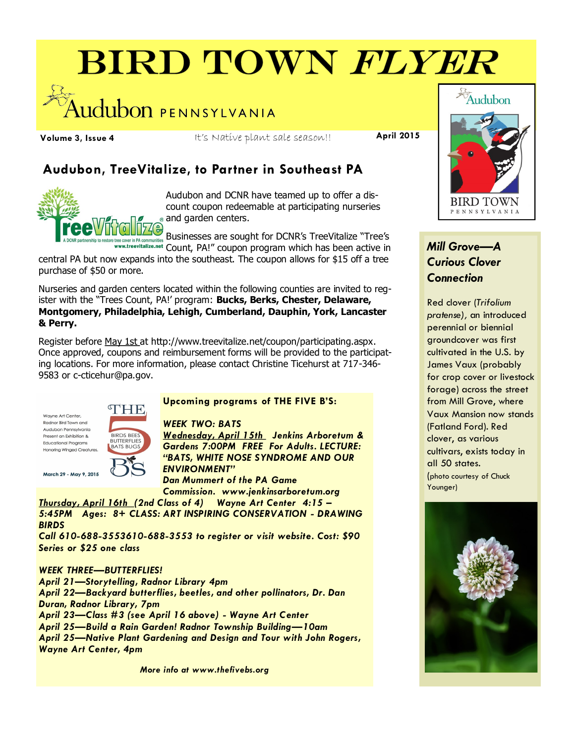# **BIRD TOWN FLYER**



**Volume 3, Issue 4** It's Native plant sale season!! **April 2015**

# **Audubon, TreeVitalize, to Partner in Southeast PA**



Audubon and DCNR have teamed up to offer a discount coupon redeemable at participating nurseries and garden centers.

Businesses are sought for DCNR's TreeVitalize "Tree's Count, PA!" coupon program which has been active in

central PA but now expands into the southeast. The coupon allows for \$15 off a tree purchase of \$50 or more.

Nurseries and garden centers located within the following counties are invited to register with the "Trees Count, PA!' program: **Bucks, Berks, Chester, Delaware, Montgomery, Philadelphia, Lehigh, Cumberland, Dauphin, York, Lancaster & Perry.**

Register before May 1st at [http://www.treevitalize.net/coupon/participating.aspx.](http://www.treevitalize.net/coupon/participating.aspx)  Once approved, coupons and reimbursement forms will be provided to the participating locations. For more information, please contact Christine Ticehurst at 717-346- 9583 or [c-cticehur@pa.gov.](mailto:c-cticehur@pa.gov?subject=TreeVitalize%20Coupon%20Program%20SE%20PA)

Wayne Art Center, Radnor Bird Town and Audubon Pennsylvania Present an Exhibition & **Educational Programs Honoring Winged Creatures** 



March 29 - May 9, 2015

#### **Upcoming programs of THE FIVE B'S:**

*WEEK TWO: BATS*

*Wednesday, April 15th Jenkins Arboretum & Gardens 7:00PM FREE For Adults. LECTURE: "BATS, WHITE NOSE SYNDROME AND OUR ENVIRONMENT"* 

*Dan Mummert of the PA Game Commission. www.jenkinsarboretum.org*

*Thursday, April 16th (2nd Class of 4) Wayne Art Center 4:15 – 5:45PM Ages: 8+ CLASS: ART INSPIRING CONSERVATION - DRAWING BIRDS* 

*Call 610-688-3553610-688-3553 to register or visit website. Cost: \$90 Series or \$25 one class* 

### *WEEK THREE—BUTTERFLIES!*

*April 21—Storytelling, Radnor Library 4pm April 22—Backyard butterflies, beetles, and other pollinators, Dr. Dan Duran, Radnor Library, 7pm April 23—Class #3 (see April 16 above) - Wayne Art Center April 25—Build a Rain Garden! Radnor Township Building—10am April 25—Native Plant Gardening and Design and Tour with John Rogers, Wayne Art Center, 4pm*

*More info at www.thefivebs.org*



# *Mill Grove—A Curious Clover Connection*

Red clover (*Trifolium pratense),* an introduced perennial or biennial groundcover was first cultivated in the U.S. by James Vaux (probably for crop cover or livestock forage) across the street from Mill Grove, where Vaux Mansion now stands (Fatland Ford). Red clover, as various cultivars, exists today in all 50 states. (photo courtesy of Chuck Younger)

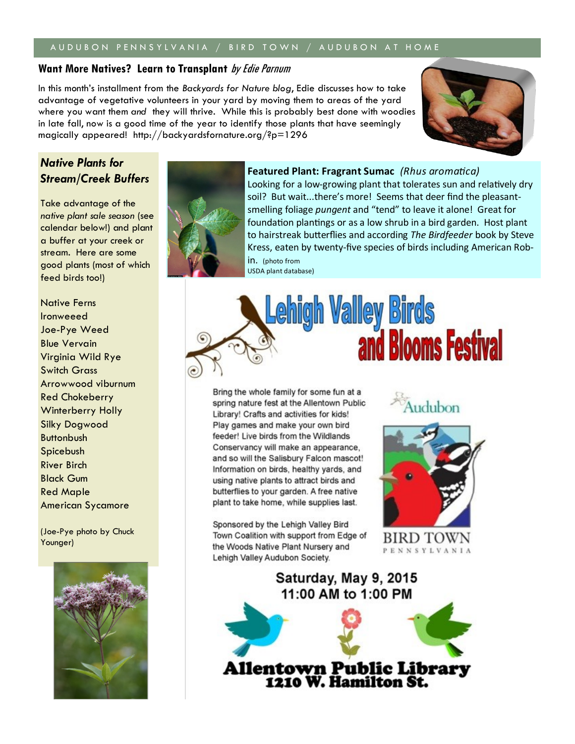### A U D U B O N P EN N S Y L V A N I A V B I R D T O W N / A U D U B O N A T H O M E

#### **Want More Natives? Learn to Transplant** by Edie Parnum

In this month's installment from the *Backyards for Nature blog*, Edie discusses how to take advantage of vegetative volunteers in your yard by moving them to areas of the yard where you want them *and* they will thrive. While this is probably best done with woodies in late fall, now is a good time of the year to identify those plants that have seemingly magically appeared! http://backyardsfornature.org/?p=1296



## *Native Plants for Stream/Creek Buffers*

Take advantage of the *native plant sale season* (see calendar below!) and plant a buffer at your creek or stream. Here are some good plants (most of which feed birds too!)

Native Ferns Ironweeed Joe-Pye Weed Blue Vervain Virginia Wild Rye Switch Grass Arrowwood viburnum Red Chokeberry Winterberry Holly Silky Dogwood **Buttonbush** Spicebush River Birch Black Gum Red Maple American Sycamore

(Joe-Pye photo by Chuck Younger)





Looking for a low-growing plant that tolerates sun and relatively dry soil? But wait...there's more! Seems that deer find the pleasantsmelling foliage *pungent* and "tend" to leave it alone! Great for foundation plantings or as a low shrub in a bird garden. Host plant to hairstreak butterflies and according *The Birdfeeder* book by Steve Kress, eaten by twenty-five species of birds including American Robin. (photo from

USDA plant database)



Bring the whole family for some fun at a spring nature fest at the Allentown Public Library! Crafts and activities for kids! Play games and make your own bird feeder! Live birds from the Wildlands Conservancy will make an appearance, and so will the Salisbury Falcon mascot! Information on birds, healthy yards, and using native plants to attract birds and butterflies to your garden. A free native plant to take home, while supplies last.

Sponsored by the Lehigh Valley Bird Town Coalition with support from Edge of the Woods Native Plant Nursery and Lehigh Valley Audubon Society.

Audubon



BIRD TOWN PENNSYLVANIA

Saturday, May 9, 2015 11:00 AM to 1:00 PM